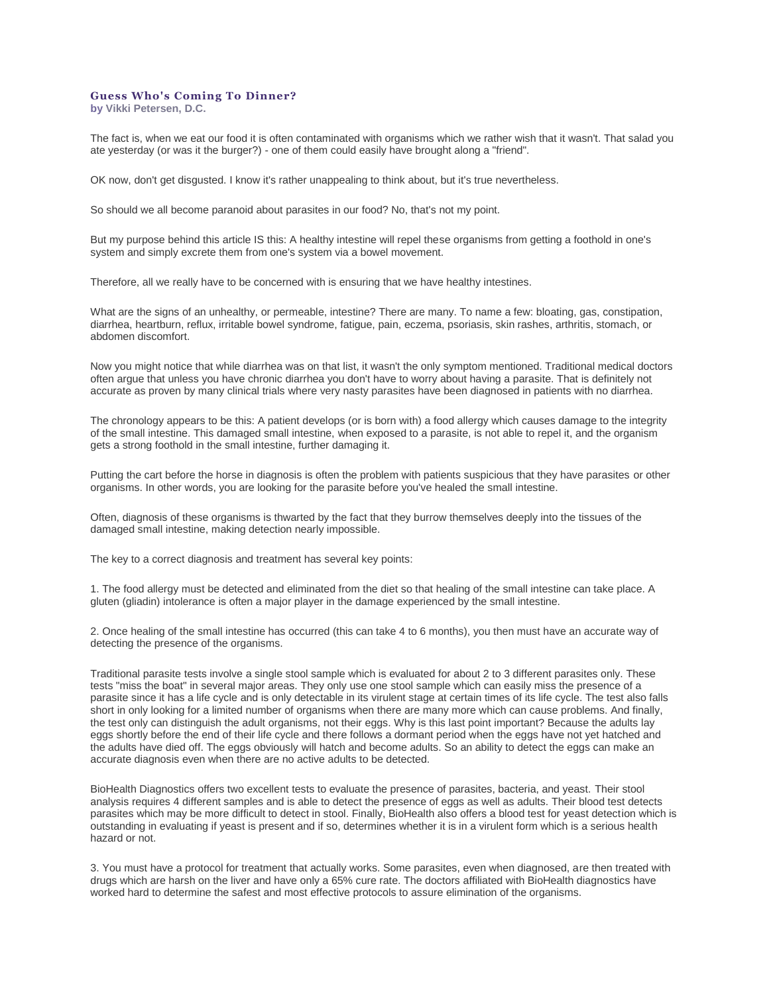## **Guess Who's Coming To Dinner?**

**by [Vikki Petersen, D.C.](https://web.archive.org/web/20120719121836/http:/www.biohealthinfo.com/html/resources/doctorbios.html#vikki)**

The fact is, when we eat our food it is often contaminated with organisms which we rather wish that it wasn't. That salad you ate yesterday (or was it the burger?) - one of them could easily have brought along a "friend".

OK now, don't get disgusted. I know it's rather unappealing to think about, but it's true nevertheless.

So should we all become paranoid about parasites in our food? No, that's not my point.

But my purpose behind this article IS this: A healthy intestine will repel these organisms from getting a foothold in one's system and simply excrete them from one's system via a bowel movement.

Therefore, all we really have to be concerned with is ensuring that we have healthy intestines.

What are the signs of an unhealthy, or permeable, intestine? There are many. To name a few: bloating, gas, constipation, diarrhea, heartburn, reflux, irritable bowel syndrome, fatigue, pain, eczema, psoriasis, skin rashes, arthritis, stomach, or abdomen discomfort.

Now you might notice that while diarrhea was on that list, it wasn't the only symptom mentioned. Traditional medical doctors often argue that unless you have chronic diarrhea you don't have to worry about having a parasite. That is definitely not accurate as proven by many clinical trials where very nasty parasites have been diagnosed in patients with no diarrhea.

The chronology appears to be this: A patient develops (or is born with) a food allergy which causes damage to the integrity of the small intestine. This damaged small intestine, when exposed to a parasite, is not able to repel it, and the organism gets a strong foothold in the small intestine, further damaging it.

Putting the cart before the horse in diagnosis is often the problem with patients suspicious that they have parasites or other organisms. In other words, you are looking for the parasite before you've healed the small intestine.

Often, diagnosis of these organisms is thwarted by the fact that they burrow themselves deeply into the tissues of the damaged small intestine, making detection nearly impossible.

The key to a correct diagnosis and treatment has several key points:

1. The food allergy must be detected and eliminated from the diet so that healing of the small intestine can take place. A gluten (gliadin) intolerance is often a major player in the damage experienced by the small intestine.

2. Once healing of the small intestine has occurred (this can take 4 to 6 months), you then must have an accurate way of detecting the presence of the organisms.

Traditional parasite tests involve a single stool sample which is evaluated for about 2 to 3 different parasites only. These tests "miss the boat" in several major areas. They only use one stool sample which can easily miss the presence of a parasite since it has a life cycle and is only detectable in its virulent stage at certain times of its life cycle. The test also falls short in only looking for a limited number of organisms when there are many more which can cause problems. And finally, the test only can distinguish the adult organisms, not their eggs. Why is this last point important? Because the adults lay eggs shortly before the end of their life cycle and there follows a dormant period when the eggs have not yet hatched and the adults have died off. The eggs obviously will hatch and become adults. So an ability to detect the eggs can make an accurate diagnosis even when there are no active adults to be detected.

BioHealth Diagnostics offers two excellent tests to evaluate the presence of parasites, bacteria, and yeast. Their stool analysis requires 4 different samples and is able to detect the presence of eggs as well as adults. Their blood test detects parasites which may be more difficult to detect in stool. Finally, BioHealth also offers a blood test for yeast detection which is outstanding in evaluating if yeast is present and if so, determines whether it is in a virulent form which is a serious health hazard or not.

3. You must have a protocol for treatment that actually works. Some parasites, even when diagnosed, are then treated with drugs which are harsh on the liver and have only a 65% cure rate. The doctors affiliated with BioHealth diagnostics have worked hard to determine the safest and most effective protocols to assure elimination of the organisms.